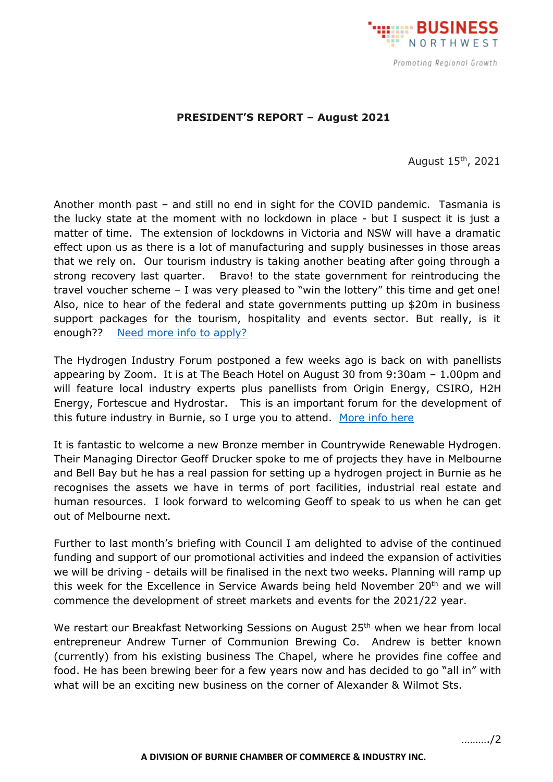

## **PRESIDENT'S REPORT – August 2021**

August 15th, 2021

Another month past – and still no end in sight for the COVID pandemic. Tasmania is the lucky state at the moment with no lockdown in place - but I suspect it is just a matter of time. The extension of lockdowns in Victoria and NSW will have a dramatic effect upon us as there is a lot of manufacturing and supply businesses in those areas that we rely on. Our tourism industry is taking another beating after going through a strong recovery last quarter. Bravo! to the state government for reintroducing the travel voucher scheme – I was very pleased to "win the lottery" this time and get one! Also, nice to hear of the federal and state governments putting up \$20m in business support packages for the tourism, hospitality and events sector. But really, is it enough?? [Need more info](https://www.business.tas.gov.au/covid-19_business_support_packages/border_closure_critical_support_program?fbclid=IwAR1TQ8s25WLQpPLz3oTzCrdJFj-Xm05_Kbk_koiXJuzoHze0KiZVgkfyD8Y) to apply?

The Hydrogen Industry Forum postponed a few weeks ago is back on with panellists appearing by Zoom. It is at The Beach Hotel on August 30 from 9:30am – 1.00pm and will feature local industry experts plus panellists from Origin Energy, CSIRO, H2H Energy, Fortescue and Hydrostar. This is an important forum for the development of this future industry in Burnie, so I urge you to attend. [More info here](http://www.bcci.net.au/wp-content/uploads/2021/08/Tasmanian-Renewable-Hydrogen-Industry-Network-Burnie-Invite-AUG-30.pdf)

It is fantastic to welcome a new Bronze member in Countrywide Renewable Hydrogen. Their Managing Director Geoff Drucker spoke to me of projects they have in Melbourne and Bell Bay but he has a real passion for setting up a hydrogen project in Burnie as he recognises the assets we have in terms of port facilities, industrial real estate and human resources. I look forward to welcoming Geoff to speak to us when he can get out of Melbourne next.

Further to last month's briefing with Council I am delighted to advise of the continued funding and support of our promotional activities and indeed the expansion of activities we will be driving - details will be finalised in the next two weeks. Planning will ramp up this week for the Excellence in Service Awards being held November  $20<sup>th</sup>$  and we will commence the development of street markets and events for the 2021/22 year.

We restart our Breakfast Networking Sessions on August 25<sup>th</sup> when we hear from local entrepreneur Andrew Turner of Communion Brewing Co. Andrew is better known (currently) from his existing business The Chapel, where he provides fine coffee and food. He has been brewing beer for a few years now and has decided to go "all in" with what will be an exciting new business on the corner of Alexander & Wilmot Sts.